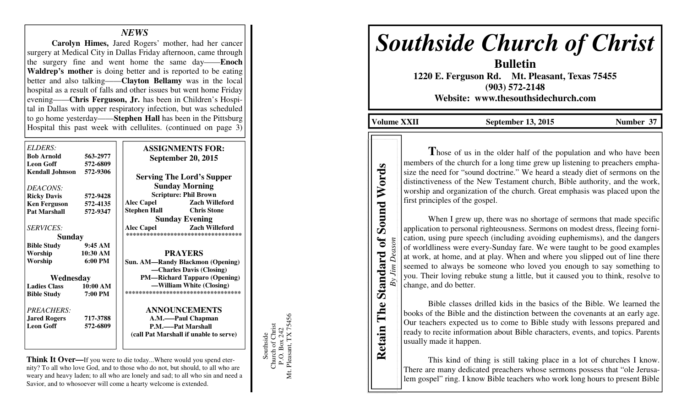## *NEWS*

  **Carolyn Himes,** Jared Rogers' mother, had her cancer surgery at Medical City in Dallas Friday afternoon, came through the surgery fine and went home the same day——**Enoch Waldrep's mother** is doing better and is reported to be eating better and also talking——**Clayton Bellamy** was in the local hospital as a result of falls and other issues but went home Friday evening——**Chris Ferguson, Jr.** has been in Children's Hospital in Dallas with upper respiratory infection, but was scheduled to go home yesterday——**Stephen Hall** has been in the Pittsburg Hospital this past week with cellulites. (continued on page 3)

| ELDERS:<br><b>Bob Arnold</b>               | 563-2977             | <b>ASSIGNMENTS FOR:</b><br><b>September 20, 2015</b> |
|--------------------------------------------|----------------------|------------------------------------------------------|
| <b>Leon Goff</b><br><b>Kendall Johnson</b> | 572-6809<br>572-9306 | <b>Serving The Lord's Supper</b>                     |
| DEACONS:                                   |                      | <b>Sunday Morning</b>                                |
| <b>Ricky Davis</b>                         | 572-9428             | <b>Scripture: Phil Brown</b>                         |
| <b>Ken Ferguson</b>                        | 572-4135             | <b>Alec Capel</b><br><b>Zach Willeford</b>           |
| <b>Pat Marshall</b>                        | 572-9347             | <b>Stephen Hall</b><br><b>Chris Stone</b>            |
|                                            |                      | <b>Sunday Evening</b>                                |
| <i>SERVICES:</i>                           |                      | <b>Zach Willeford</b><br><b>Alec Capel</b>           |
| <b>Sunday</b>                              |                      | **********************************                   |
| <b>Bible Study</b>                         | 9:45AM               |                                                      |
| Worship                                    | 10:30 AM             | <b>PRAYERS</b>                                       |
| Worship                                    | $6:00 \text{ PM}$    | <b>Sun. AM—Randy Blackmon (Opening)</b>              |
|                                            |                      | -Charles Davis (Closing)                             |
| Wednesday                                  |                      | <b>PM—Richard Tapparo (Opening)</b>                  |
| <b>Ladies Class</b>                        | 10:00 AM             | —William White (Closing)                             |
| <b>Bible Study</b>                         | 7:00 PM              | ***********************************                  |
| PREACHERS:                                 |                      | <b>ANNOUNCEMENTS</b>                                 |
| <b>Jared Rogers</b>                        | 717-3788             | A.M.-Paul Chapman                                    |
| <b>Leon Goff</b>                           | 572-6809             | <b>P.M.——Pat Marshall</b>                            |
|                                            |                      | (call Pat Marshall if unable to serve)               |
|                                            |                      |                                                      |
|                                            |                      |                                                      |

**Think It Over—**If you were to die today...Where would you spend eternity? To all who love God, and to those who do not, but should, to all who are weary and heavy laden; to all who are lonely and sad; to all who sin and need a Savior, and to whosoever will come a hearty welcome is extended.

Mt. Pleasant, TX 75456 P.O. Box 242<br>Pleasant, TX 75456 Southside<br>Church of Christ Church of Christ P.O. Box 242 Southside Mt.

# *Southside Church of Christ*

**Bulletin 1220 E. Ferguson Rd. Mt. Pleasant, Texas 75455 (903) 572-2148 Website: www.thesouthsidechurch.com** 

Volume XXII September 13, 2015 Number 37

**Retain The Standard of Sound Words**  *By Jim Deason* 

Deason

 $By\,$ *Jim* 

Standard of

The

Retain

**Sound Words** 

Those of us in the older half of the population and who have been members of the church for a long time grew up listening to preachers emphasize the need for "sound doctrine." We heard a steady diet of sermons on the distinctiveness of the New Testament church, Bible authority, and the work, worship and organization of the church. Great emphasis was placed upon the first principles of the gospel.

When I grew up, there was no shortage of sermons that made specific application to personal righteousness. Sermons on modest dress, fleeing fornication, using pure speech (including avoiding euphemisms), and the dangers of worldliness were every-Sunday fare. We were taught to be good examples at work, at home, and at play. When and where you slipped out of line there seemed to always be someone who loved you enough to say something to you. Their loving rebuke stung a little, but it caused you to think, resolve to change, and do better.

 Bible classes drilled kids in the basics of the Bible. We learned the books of the Bible and the distinction between the covenants at an early age. Our teachers expected us to come to Bible study with lessons prepared and ready to recite information about Bible characters, events, and topics. Parents usually made it happen.

 This kind of thing is still taking place in a lot of churches I know. There are many dedicated preachers whose sermons possess that "ole Jerusalem gospel" ring. I know Bible teachers who work long hours to present Bible